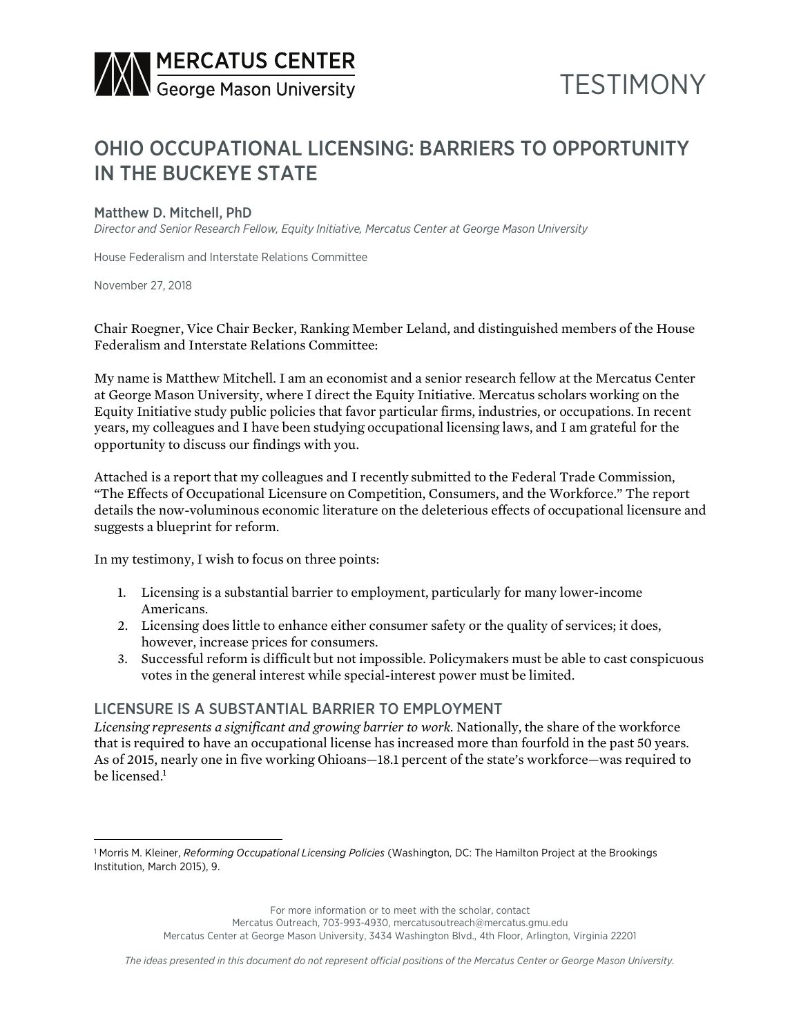

## OHIO OCCUPATIONAL LICENSING: BARRIERS TO OPPORTUNITY IN THE BUCKEYE STATE

## Matthew D. Mitchell, PhD

*Director and Senior Research Fellow, Equity Initiative, Mercatus Center at George Mason University*

House Federalism and Interstate Relations Committee

November 27, 2018

Chair Roegner, Vice Chair Becker, Ranking Member Leland, and distinguished members of the House Federalism and Interstate Relations Committee:

My name is Matthew Mitchell. I am an economist and a senior research fellow at the Mercatus Center at George Mason University, where I direct the Equity Initiative. Mercatus scholars working on the Equity Initiative study public policies that favor particular firms, industries, or occupations. In recent years, my colleagues and I have been studying occupational licensing laws, and I am grateful for the opportunity to discuss our findings with you.

Attached is a report that my colleagues and I recently submitted to the Federal Trade Commission, "The Effects of Occupational Licensure on Competition, Consumers, and the Workforce." The report details the now-voluminous economic literature on the deleterious effects of occupational licensure and suggests a blueprint for reform.

In my testimony, I wish to focus on three points:

 

- 1. Licensing is a substantial barrier to employment, particularly for many lower-income Americans.
- 2. Licensing does little to enhance either consumer safety or the quality of services; it does, however, increase prices for consumers.
- 3. Successful reform is difficult but not impossible. Policymakers must be able to cast conspicuous votes in the general interest while special-interest power must be limited.

## LICENSURE IS A SUBSTANTIAL BARRIER TO EMPLOYMENT

*Licensing represents a significant and growing barrier to work.* Nationally, the share of the workforce that is required to have an occupational license has increased more than fourfold in the past 50 years. As of 2015, nearly one in five working Ohioans—18.1 percent of the state's workforce—was required to be licensed.<sup>1</sup>

For more information or to meet with the scholar, contact Mercatus Outreach, 703-993-4930, mercatusoutreach@mercatus.gmu.edu

Mercatus Center at George Mason University, 3434 Washington Blvd., 4th Floor, Arlington, Virginia 22201

*The ideas presented in this document do not represent official positions of the Mercatus Center or George Mason University.*

<sup>1</sup> Morris M. Kleiner, *Reforming Occupational Licensing Policies* (Washington, DC: The Hamilton Project at the Brookings Institution, March 2015), 9.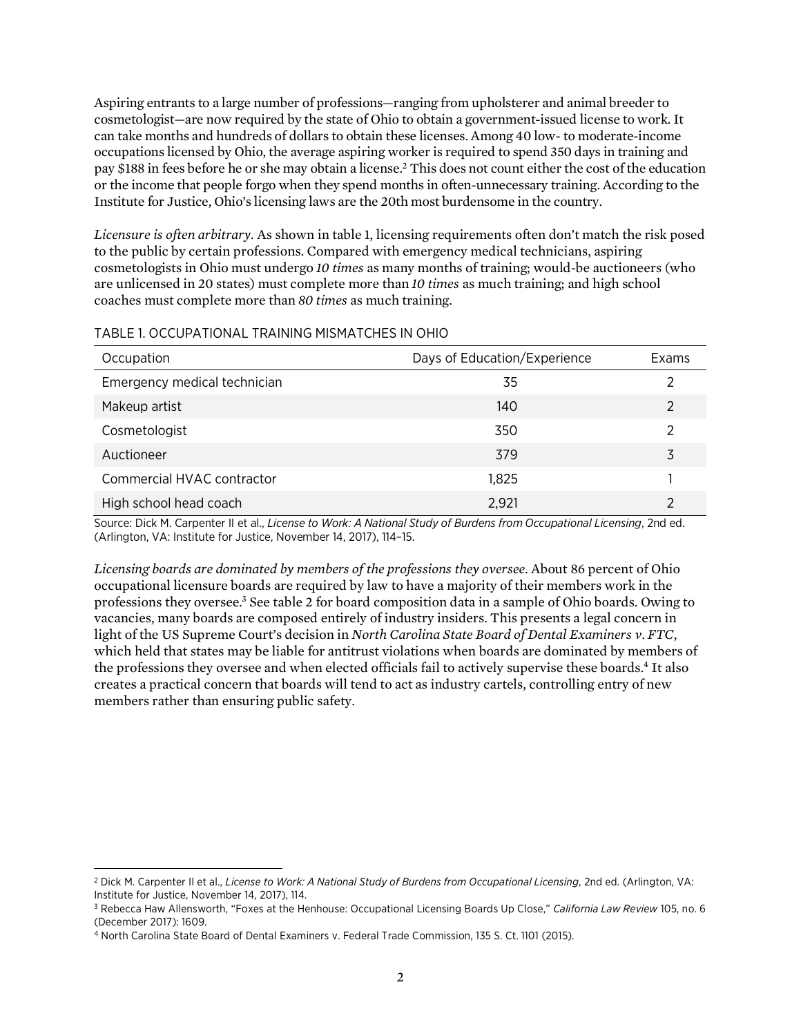Aspiring entrants to a large number of professions—ranging from upholsterer and animal breeder to cosmetologist—are now required by the state of Ohio to obtain a government-issued license to work. It can take months and hundreds of dollars to obtain these licenses. Among 40 low- to moderate-income occupations licensed by Ohio, the average aspiring worker is required to spend 350 days in training and pay \$188 in fees before he or she may obtain a license.2 This does not count either the cost of the education or the income that people forgo when they spend months in often-unnecessary training. According to the Institute for Justice, Ohio's licensing laws are the 20th most burdensome in the country.

*Licensure is often arbitrary.* As shown in table 1, licensing requirements often don't match the risk posed to the public by certain professions. Compared with emergency medical technicians, aspiring cosmetologists in Ohio must undergo *10 times* as many months of training; would-be auctioneers (who are unlicensed in 20 states) must complete more than *10 times* as much training; and high school coaches must complete more than *80 times* as much training.

| Occupation                   | Days of Education/Experience | Exams         |
|------------------------------|------------------------------|---------------|
| Emergency medical technician | 35                           |               |
| Makeup artist                | 140                          | $\mathcal{P}$ |
| Cosmetologist                | 350                          | 2             |
| Auctioneer                   | 379                          | 3             |
| Commercial HVAC contractor   | 1,825                        |               |
| High school head coach       | 2,921                        |               |

## TABLE 1. OCCUPATIONAL TRAINING MISMATCHES IN OHIO

Source: Dick M. Carpenter II et al., *License to Work: A National Study of Burdens from Occupational Licensing*, 2nd ed. (Arlington, VA: Institute for Justice, November 14, 2017), 114–15.

*Licensing boards are dominated by members of the professions they oversee.* About 86 percent of Ohio occupational licensure boards are required by law to have a majority of their members work in the professions they oversee.3 See table 2 for board composition data in a sample of Ohio boards. Owing to vacancies, many boards are composed entirely of industry insiders. This presents a legal concern in light of the US Supreme Court's decision in *North Carolina State Board of Dental Examiners v. FTC*, which held that states may be liable for antitrust violations when boards are dominated by members of the professions they oversee and when elected officials fail to actively supervise these boards.<sup>4</sup> It also creates a practical concern that boards will tend to act as industry cartels, controlling entry of new members rather than ensuring public safety.

 <sup>2</sup> Dick M. Carpenter II et al., *License to Work: A National Study of Burdens from Occupational Licensing*, 2nd ed. (Arlington, VA: Institute for Justice, November 14, 2017), 114.

<sup>3</sup> Rebecca Haw Allensworth, "Foxes at the Henhouse: Occupational Licensing Boards Up Close," *California Law Review* 105, no. 6 (December 2017): 1609.

<sup>4</sup> North Carolina State Board of Dental Examiners v. Federal Trade Commission, 135 S. Ct. 1101 (2015).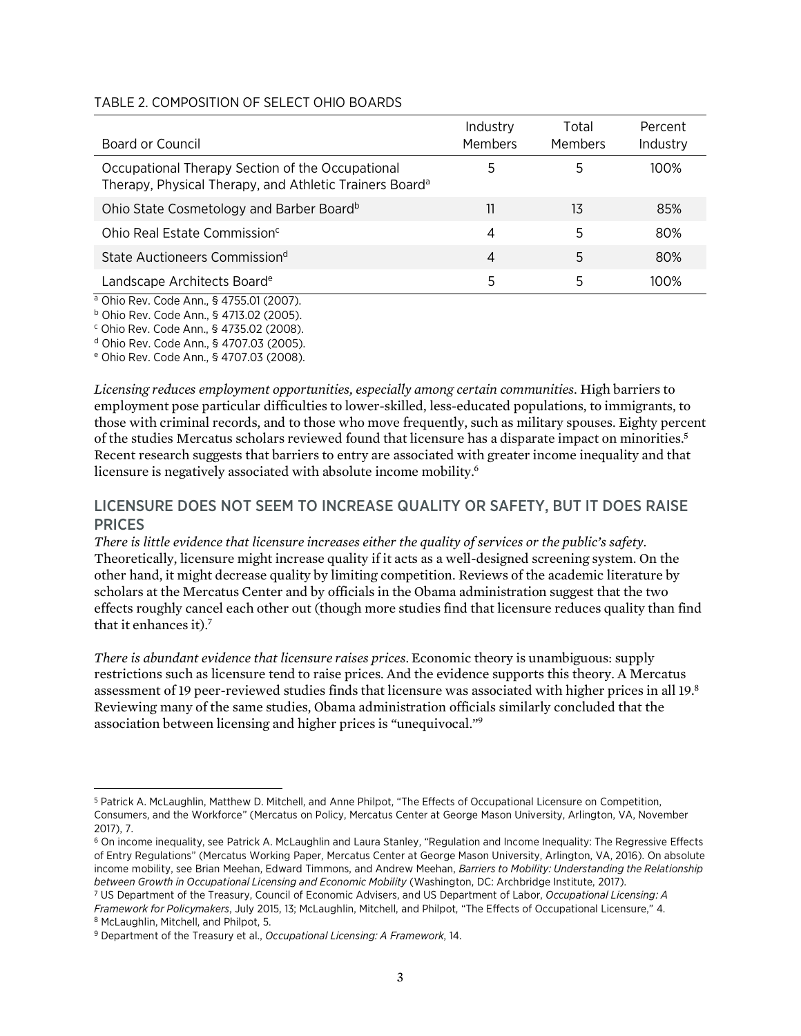| TABLE 2. COMPOSITION OF SELECT OHIO BOARDS |  |
|--------------------------------------------|--|
|                                            |  |

| Board or Council                                                                                                        | Industry<br><b>Members</b> | Total<br>Members | Percent<br>Industry |
|-------------------------------------------------------------------------------------------------------------------------|----------------------------|------------------|---------------------|
| Occupational Therapy Section of the Occupational<br>Therapy, Physical Therapy, and Athletic Trainers Board <sup>a</sup> | 5                          |                  | 100%                |
| Ohio State Cosmetology and Barber Board <sup>b</sup>                                                                    | 11                         | 13               | 85%                 |
| Ohio Real Estate Commission <sup>c</sup>                                                                                | 4                          | 5                | 80%                 |
| State Auctioneers Commission <sup>d</sup>                                                                               | 4                          | 5                | 80%                 |
| Landscape Architects Board <sup>e</sup>                                                                                 | 5                          | 5                | 100%                |

<sup>a</sup> Ohio Rev. Code Ann., § 4755.01 (2007).

<sup>b</sup> Ohio Rev. Code Ann., § 4713.02 (2005).

<sup>c</sup> Ohio Rev. Code Ann., § 4735.02 (2008).

<sup>d</sup> Ohio Rev. Code Ann., § 4707.03 (2005).

<sup>e</sup> Ohio Rev. Code Ann., § 4707.03 (2008).

*Licensing reduces employment opportunities, especially among certain communities.* High barriers to employment pose particular difficulties to lower-skilled, less-educated populations, to immigrants, to those with criminal records, and to those who move frequently, such as military spouses. Eighty percent of the studies Mercatus scholars reviewed found that licensure has a disparate impact on minorities.5 Recent research suggests that barriers to entry are associated with greater income inequality and that licensure is negatively associated with absolute income mobility.<sup>6</sup>

## LICENSURE DOES NOT SEEM TO INCREASE QUALITY OR SAFETY, BUT IT DOES RAISE **PRICES**

*There is little evidence that licensure increases either the quality of services or the public's safety.* Theoretically, licensure might increase quality if it acts as a well-designed screening system. On the other hand, it might decrease quality by limiting competition. Reviews of the academic literature by scholars at the Mercatus Center and by officials in the Obama administration suggest that the two effects roughly cancel each other out (though more studies find that licensure reduces quality than find that it enhances it).<sup>7</sup>

*There is abundant evidence that licensure raises prices.* Economic theory is unambiguous: supply restrictions such as licensure tend to raise prices. And the evidence supports this theory. A Mercatus assessment of 19 peer-reviewed studies finds that licensure was associated with higher prices in all 19.8 Reviewing many of the same studies, Obama administration officials similarly concluded that the association between licensing and higher prices is "unequivocal."9

 <sup>5</sup> Patrick A. McLaughlin, Matthew D. Mitchell, and Anne Philpot, "The Effects of Occupational Licensure on Competition, Consumers, and the Workforce" (Mercatus on Policy, Mercatus Center at George Mason University, Arlington, VA, November 2017), 7.

<sup>6</sup> On income inequality, see Patrick A. McLaughlin and Laura Stanley, "Regulation and Income Inequality: The Regressive Effects of Entry Regulations" (Mercatus Working Paper, Mercatus Center at George Mason University, Arlington, VA, 2016). On absolute income mobility, see Brian Meehan, Edward Timmons, and Andrew Meehan, *Barriers to Mobility: Understanding the Relationship between Growth in Occupational Licensing and Economic Mobility* (Washington, DC: Archbridge Institute, 2017).

<sup>7</sup> US Department of the Treasury, Council of Economic Advisers, and US Department of Labor, *Occupational Licensing: A Framework for Policymakers*, July 2015, 13; McLaughlin, Mitchell, and Philpot, "The Effects of Occupational Licensure," 4. <sup>8</sup> McLaughlin, Mitchell, and Philpot, 5.

<sup>9</sup> Department of the Treasury et al., *Occupational Licensing: A Framework*, 14.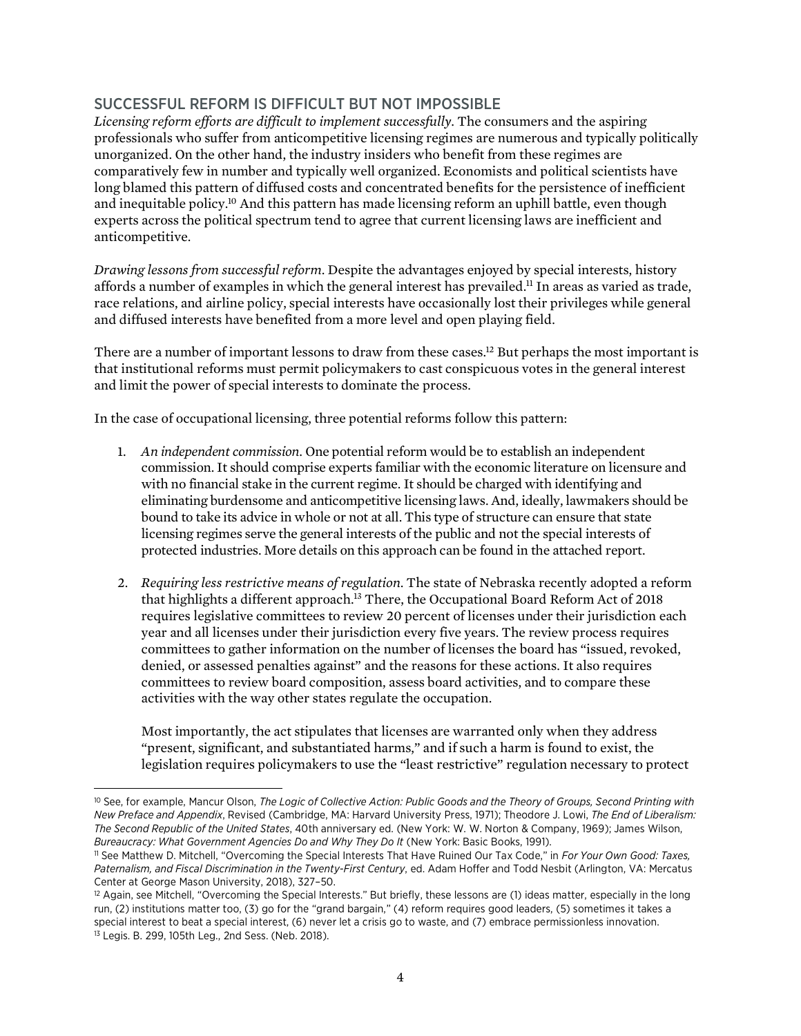## SUCCESSFUL REFORM IS DIFFICULT BUT NOT IMPOSSIBLE

*Licensing reform efforts are difficult to implement successfully.* The consumers and the aspiring professionals who suffer from anticompetitive licensing regimes are numerous and typically politically unorganized. On the other hand, the industry insiders who benefit from these regimes are comparatively few in number and typically well organized. Economists and political scientists have long blamed this pattern of diffused costs and concentrated benefits for the persistence of inefficient and inequitable policy.10 And this pattern has made licensing reform an uphill battle, even though experts across the political spectrum tend to agree that current licensing laws are inefficient and anticompetitive.

*Drawing lessons from successful reform.* Despite the advantages enjoyed by special interests, history affords a number of examples in which the general interest has prevailed.<sup>11</sup> In areas as varied as trade, race relations, and airline policy, special interests have occasionally lost their privileges while general and diffused interests have benefited from a more level and open playing field.

There are a number of important lessons to draw from these cases.<sup>12</sup> But perhaps the most important is that institutional reforms must permit policymakers to cast conspicuous votes in the general interest and limit the power of special interests to dominate the process.

In the case of occupational licensing, three potential reforms follow this pattern:

- 1. *An independent commission.* One potential reform would be to establish an independent commission. It should comprise experts familiar with the economic literature on licensure and with no financial stake in the current regime. It should be charged with identifying and eliminating burdensome and anticompetitive licensing laws. And, ideally, lawmakers should be bound to take its advice in whole or not at all. This type of structure can ensure that state licensing regimes serve the general interests of the public and not the special interests of protected industries. More details on this approach can be found in the attached report.
- 2. *Requiring less restrictive means of regulation.* The state of Nebraska recently adopted a reform that highlights a different approach.<sup>13</sup> There, the Occupational Board Reform Act of 2018 requires legislative committees to review 20 percent of licenses under their jurisdiction each year and all licenses under their jurisdiction every five years. The review process requires committees to gather information on the number of licenses the board has "issued, revoked, denied, or assessed penalties against" and the reasons for these actions. It also requires committees to review board composition, assess board activities, and to compare these activities with the way other states regulate the occupation.

Most importantly, the act stipulates that licenses are warranted only when they address "present, significant, and substantiated harms," and if such a harm is found to exist, the legislation requires policymakers to use the "least restrictive" regulation necessary to protect

 <sup>10</sup> See, for example, Mancur Olson, *The Logic of Collective Action: Public Goods and the Theory of Groups, Second Printing with New Preface and Appendix*, Revised (Cambridge, MA: Harvard University Press, 1971); Theodore J. Lowi, *The End of Liberalism: The Second Republic of the United States*, 40th anniversary ed. (New York: W. W. Norton & Company, 1969); James Wilson, *Bureaucracy: What Government Agencies Do and Why They Do It* (New York: Basic Books, 1991).

<sup>11</sup> See Matthew D. Mitchell, "Overcoming the Special Interests That Have Ruined Our Tax Code," in *For Your Own Good: Taxes, Paternalism, and Fiscal Discrimination in the Twenty-First Century*, ed. Adam Hoffer and Todd Nesbit (Arlington, VA: Mercatus Center at George Mason University, 2018), 327–50.

<sup>12</sup> Again, see Mitchell, "Overcoming the Special Interests." But briefly, these lessons are (1) ideas matter, especially in the long run, (2) institutions matter too, (3) go for the "grand bargain," (4) reform requires good leaders, (5) sometimes it takes a special interest to beat a special interest, (6) never let a crisis go to waste, and (7) embrace permissionless innovation. <sup>13</sup> Legis. B. 299, 105th Leg., 2nd Sess. (Neb. 2018).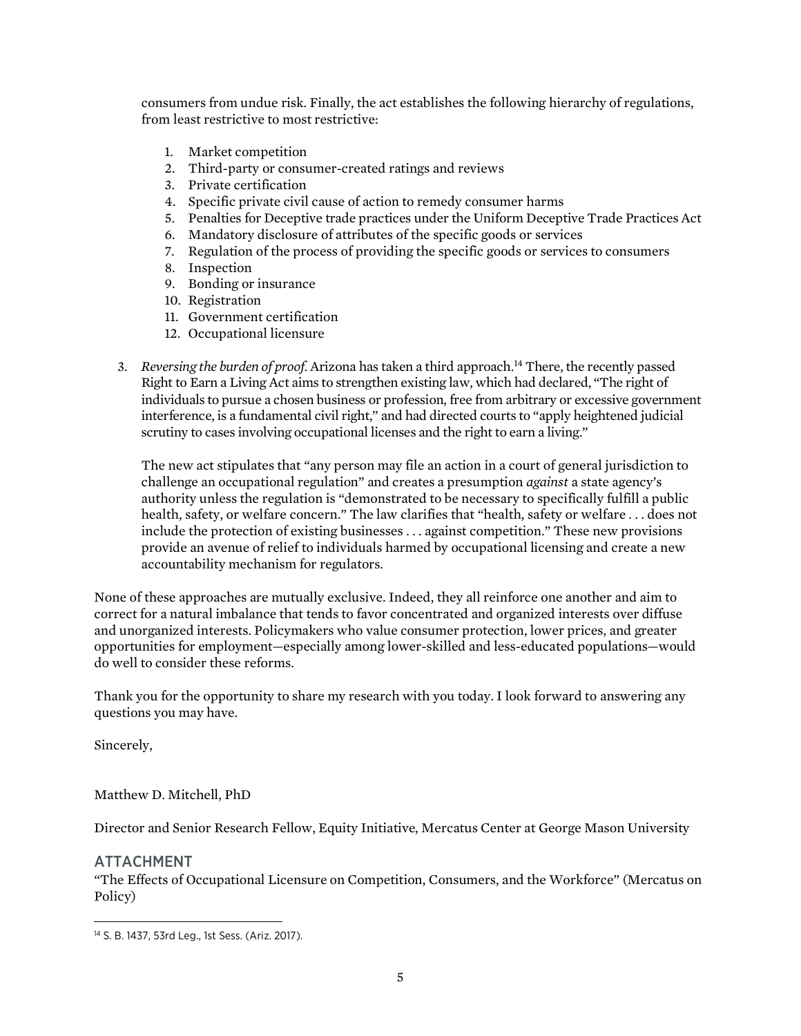consumers from undue risk. Finally, the act establishes the following hierarchy of regulations, from least restrictive to most restrictive:

- 1. Market competition
- 2. Third-party or consumer-created ratings and reviews
- 3. Private certification
- 4. Specific private civil cause of action to remedy consumer harms
- 5. Penalties for Deceptive trade practices under the Uniform Deceptive Trade Practices Act
- 6. Mandatory disclosure of attributes of the specific goods or services
- 7. Regulation of the process of providing the specific goods or services to consumers
- 8. Inspection
- 9. Bonding or insurance
- 10. Registration
- 11. Government certification
- 12. Occupational licensure
- 3. *Reversing the burden of proof.* Arizona has taken a third approach.14 There, the recently passed Right to Earn a Living Act aims to strengthen existing law, which had declared, "The right of individuals to pursue a chosen business or profession, free from arbitrary or excessive government interference, is a fundamental civil right," and had directed courts to "apply heightened judicial scrutiny to cases involving occupational licenses and the right to earn a living."

The new act stipulates that "any person may file an action in a court of general jurisdiction to challenge an occupational regulation" and creates a presumption *against* a state agency's authority unless the regulation is "demonstrated to be necessary to specifically fulfill a public health, safety, or welfare concern." The law clarifies that "health, safety or welfare . . . does not include the protection of existing businesses . . . against competition." These new provisions provide an avenue of relief to individuals harmed by occupational licensing and create a new accountability mechanism for regulators.

None of these approaches are mutually exclusive. Indeed, they all reinforce one another and aim to correct for a natural imbalance that tends to favor concentrated and organized interests over diffuse and unorganized interests. Policymakers who value consumer protection, lower prices, and greater opportunities for employment—especially among lower-skilled and less-educated populations—would do well to consider these reforms.

Thank you for the opportunity to share my research with you today. I look forward to answering any questions you may have.

Sincerely,

Matthew D. Mitchell, PhD

Director and Senior Research Fellow, Equity Initiative, Mercatus Center at George Mason University

## ATTACHMENT

"The Effects of Occupational Licensure on Competition, Consumers, and the Workforce" (Mercatus on Policy)

 <sup>14</sup> S. B. 1437, 53rd Leg., 1st Sess. (Ariz. 2017).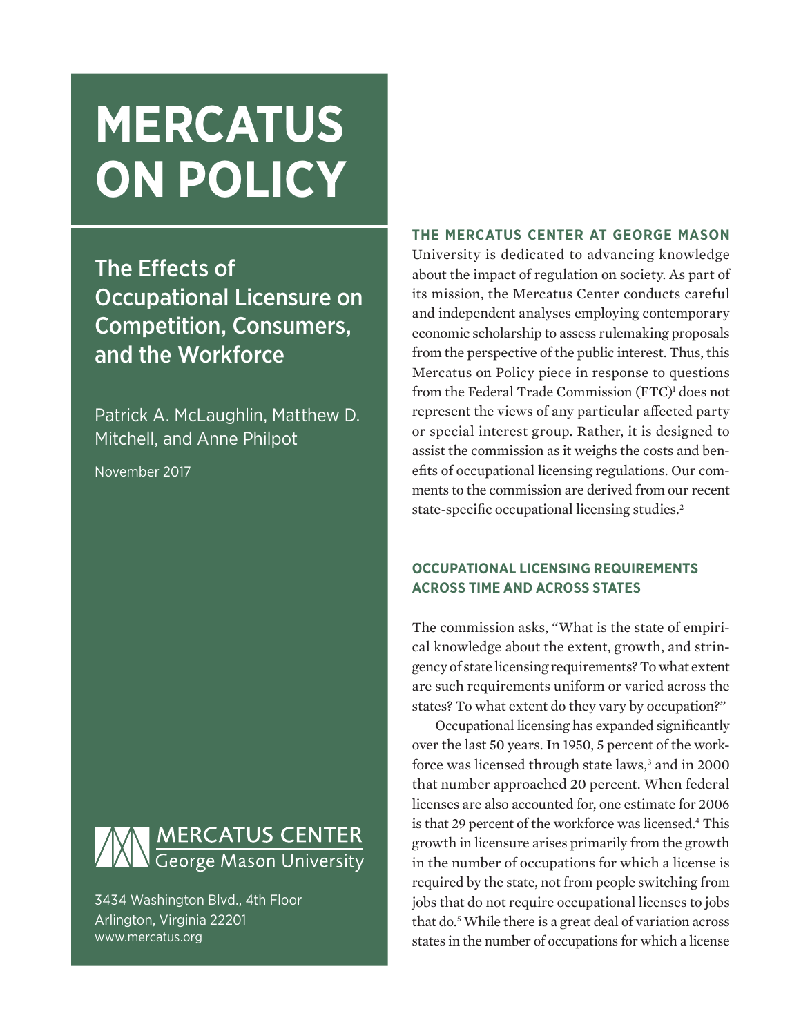# **MERCATUS ON POLICY**

The Effects of Occupational Licensure on Competition, Consumers, and the Workforce

Patrick A. McLaughlin, Matthew D. Mitchell, and Anne Philpot

November 2017



3434 Washington Blvd., 4th Floor Arlington, Virginia 22201 www.mercatus.org

**THE MERCATUS CENTER AT GEORGE MASON**  University is dedicated to advancing knowledge about the impact of regulation on society. As part of its mission, the Mercatus Center conducts careful and independent analyses employing contemporary economic scholarship to assess rulemaking proposals from the perspective of the public interest. Thus, this Mercatus on Policy piece in response to questions from the Federal Trade Commission (FTC)<sup>1</sup> does not represent the views of any particular affected party or special interest group. Rather, it is designed to assist the commission as it weighs the costs and benefits of occupational licensing regulations. Our comments to the commission are derived from our recent state-specific occupational licensing studies.<sup>2</sup>

## **OCCUPATIONAL LICENSING REQUIREMENTS ACROSS TIME AND ACROSS STATES**

The commission asks, "What is the state of empirical knowledge about the extent, growth, and stringency of state licensing requirements? To what extent are such requirements uniform or varied across the states? To what extent do they vary by occupation?"

Occupational licensing has expanded significantly over the last 50 years. In 1950, 5 percent of the workforce was licensed through state laws,<sup>3</sup> and in 2000 that number approached 20 percent. When federal licenses are also accounted for, one estimate for 2006 is that 29 percent of the workforce was licensed.<sup>4</sup> This growth in licensure arises primarily from the growth in the number of occupations for which a license is required by the state, not from people switching from jobs that do not require occupational licenses to jobs that do.<sup>5</sup> While there is a great deal of variation across states in the number of occupations for which a license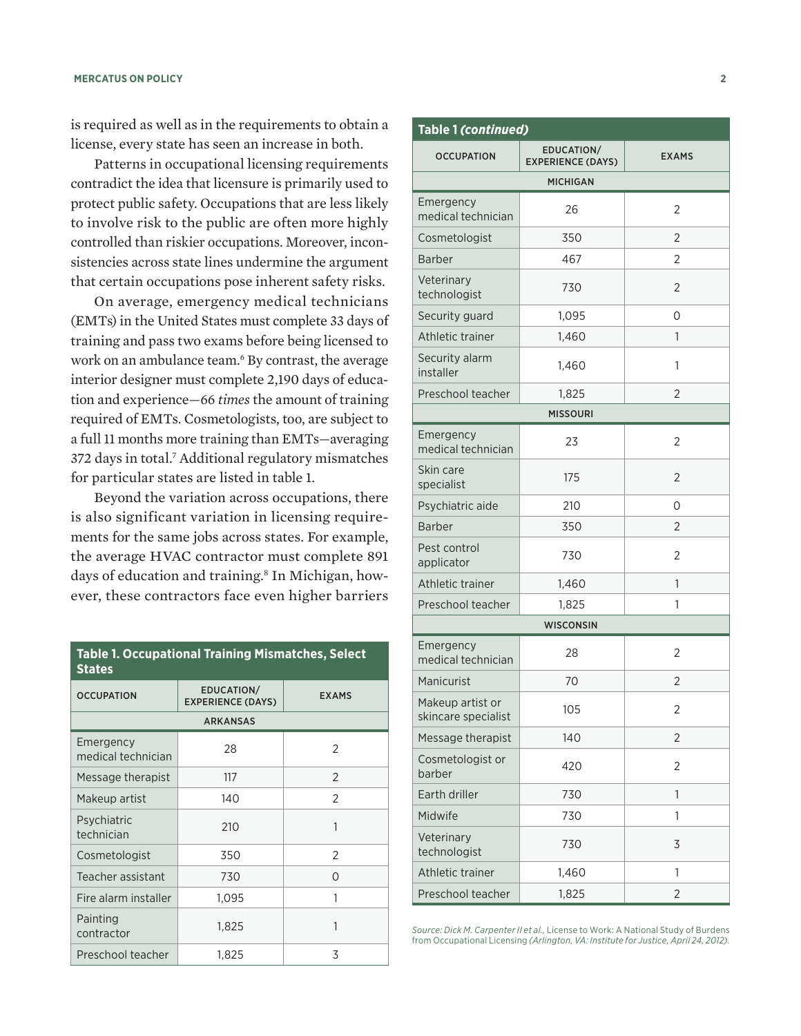is required as well as in the requirements to obtain a license, every state has seen an increase in both.

Patterns in occupational licensing requirements contradict the idea that licensure is primarily used to protect public safety. Occupations that are less likely to involve risk to the public are often more highly controlled than riskier occupations. Moreover, inconsistencies across state lines undermine the argument that certain occupations pose inherent safety risks.

On average, emergency medical technicians (EMTs) in the United States must complete 33 days of training and pass two exams before being licensed to work on an ambulance team.6 By contrast, the average interior designer must complete 2,190 days of education and experience—66 *times* the amount of training required of EMTs. Cosmetologists, too, are subject to a full 11 months more training than EMTs—averaging 372 days in total.<sup>7</sup> Additional regulatory mismatches for particular states are listed in table 1.

Beyond the variation across occupations, there is also significant variation in licensing requirements for the same jobs across states. For example, the average HVAC contractor must complete 891 days of education and training.<sup>8</sup> In Michigan, however, these contractors face even higher barriers

| <b>Table 1. Occupational Training Mismatches, Select</b><br><b>States</b> |                                        |                |  |
|---------------------------------------------------------------------------|----------------------------------------|----------------|--|
| <b>OCCUPATION</b>                                                         | EDUCATION/<br><b>EXPERIENCE (DAYS)</b> |                |  |
|                                                                           | <b>ARKANSAS</b>                        |                |  |
| Emergency<br>medical technician                                           | 28                                     | $\mathfrak{D}$ |  |
| Message therapist                                                         | 117                                    | $\mathcal{P}$  |  |
| Makeup artist                                                             | 140                                    | 2              |  |
| Psychiatric<br>technician                                                 | 210                                    | 1              |  |
| Cosmetologist                                                             | 350                                    | $\mathcal{P}$  |  |
| Teacher assistant                                                         | 730                                    | Ω              |  |
| Fire alarm installer                                                      | 1,095                                  | 1              |  |
| Painting<br>contractor                                                    | 1,825                                  | 1              |  |
| Preschool teacher                                                         | 1,825                                  | 3              |  |

| Table 1 (continued)                     |                                        |                |  |
|-----------------------------------------|----------------------------------------|----------------|--|
| <b>OCCUPATION</b>                       | EDUCATION/<br><b>EXPERIENCE (DAYS)</b> | <b>EXAMS</b>   |  |
|                                         | <b>MICHIGAN</b>                        |                |  |
| Emergency<br>medical technician         | 26                                     | 2              |  |
| Cosmetologist                           | 350                                    | 2              |  |
| <b>Barber</b>                           | 467                                    | $\overline{2}$ |  |
| Veterinary<br>technologist              | 730                                    | 2              |  |
| Security guard                          | 1,095                                  | 0              |  |
| Athletic trainer                        | 1,460                                  | 1              |  |
| Security alarm<br>installer             | 1,460                                  | 1              |  |
| Preschool teacher                       | 1,825                                  | 2              |  |
|                                         | <b>MISSOURI</b>                        |                |  |
| Emergency<br>medical technician         | 23                                     | 2              |  |
| Skin care<br>specialist                 | 175                                    | $\overline{2}$ |  |
| Psychiatric aide                        | 210                                    | 0              |  |
| Barber                                  | 350                                    | 2              |  |
| Pest control<br>applicator              | 730                                    | 2              |  |
| Athletic trainer                        | 1,460                                  | 1              |  |
| Preschool teacher                       | 1,825                                  | 1              |  |
| <b>WISCONSIN</b>                        |                                        |                |  |
| Emergency<br>medical technician         | 28                                     | 2              |  |
| Manicurist                              | 70                                     | $\overline{2}$ |  |
| Makeup artist or<br>skincare specialist | 105                                    | 2              |  |
| Message therapist                       | 140                                    | $\overline{2}$ |  |
| Cosmetologist or<br>barber              | 420                                    | 2              |  |
| Earth driller                           | 730                                    | 1              |  |
| Midwife                                 | 730                                    | 1              |  |
| Veterinary<br>technologist              | 730                                    | 3              |  |
| Athletic trainer                        | 1,460                                  | 1              |  |
| Preschool teacher                       | 1,825                                  | 2              |  |

*Source: Dick M. Carpenter II et al.,* License to Work: A National Study of Burdens from Occupational Licensing *(Arlington, VA: Institute for Justice, April 24, 2012).*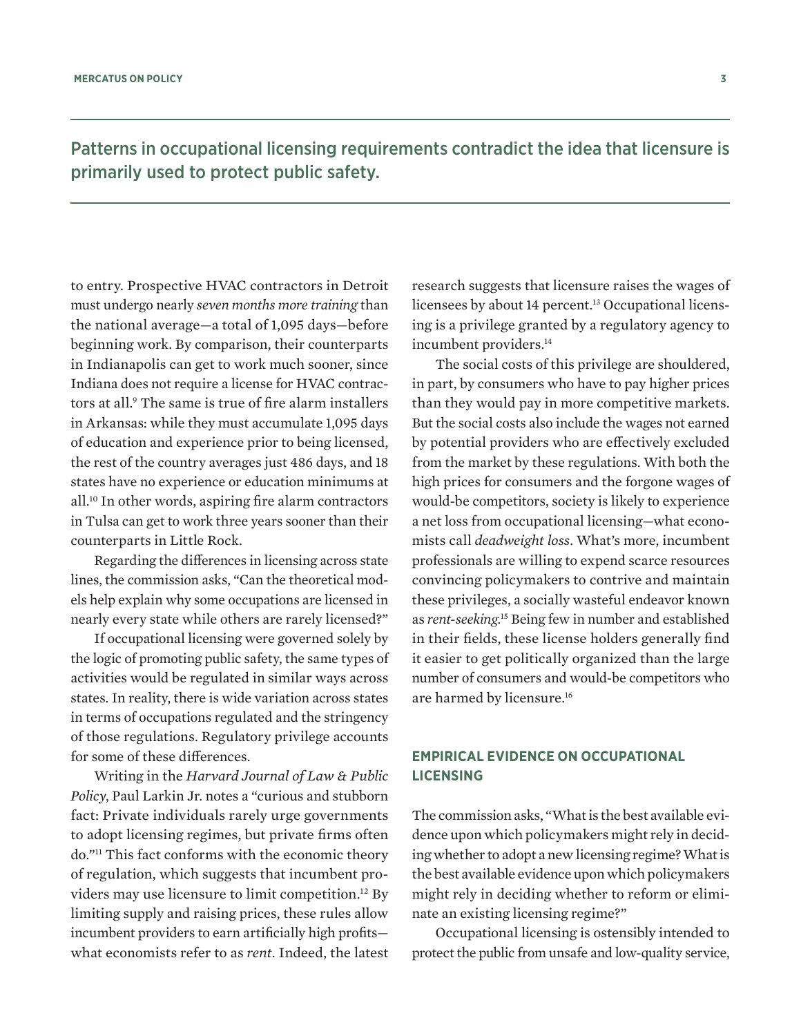Patterns in occupational licensing requirements contradict the idea that licensure is primarily used to protect public safety.

to entry. Prospective HVAC contractors in Detroit must undergo nearly *seven months more training* than the national average—a total of 1,095 days—before beginning work. By comparison, their counterparts in Indianapolis can get to work much sooner, since Indiana does not require a license for HVAC contractors at all.<sup>9</sup> The same is true of fire alarm installers in Arkansas: while they must accumulate 1,095 days of education and experience prior to being licensed, the rest of the country averages just 486 days, and 18 states have no experience or education minimums at all.10 In other words, aspiring fire alarm contractors in Tulsa can get to work three years sooner than their counterparts in Little Rock.

Regarding the differences in licensing across state lines, the commission asks, "Can the theoretical models help explain why some occupations are licensed in nearly every state while others are rarely licensed?"

If occupational licensing were governed solely by the logic of promoting public safety, the same types of activities would be regulated in similar ways across states. In reality, there is wide variation across states in terms of occupations regulated and the stringency of those regulations. Regulatory privilege accounts for some of these differences.

Writing in the *Harvard Journal of Law & Public Policy*, Paul Larkin Jr. notes a "curious and stubborn fact: Private individuals rarely urge governments to adopt licensing regimes, but private firms often do."11 This fact conforms with the economic theory of regulation, which suggests that incumbent providers may use licensure to limit competition.12 By limiting supply and raising prices, these rules allow incumbent providers to earn artificially high profits what economists refer to as *rent*. Indeed, the latest research suggests that licensure raises the wages of licensees by about 14 percent.<sup>13</sup> Occupational licensing is a privilege granted by a regulatory agency to incumbent providers.<sup>14</sup>

The social costs of this privilege are shouldered, in part, by consumers who have to pay higher prices than they would pay in more competitive markets. But the social costs also include the wages not earned by potential providers who are effectively excluded from the market by these regulations. With both the high prices for consumers and the forgone wages of would-be competitors, society is likely to experience a net loss from occupational licensing—what economists call *deadweight loss*. What's more, incumbent professionals are willing to expend scarce resources convincing policymakers to contrive and maintain these privileges, a socially wasteful endeavor known as *rent-seeking*. 15 Being few in number and established in their fields, these license holders generally find it easier to get politically organized than the large number of consumers and would-be competitors who are harmed by licensure.<sup>16</sup>

## **EMPIRICAL EVIDENCE ON OCCUPATIONAL LICENSING**

The commission asks, "What is the best available evidence upon which policymakers might rely in deciding whether to adopt a new licensing regime? What is the best available evidence upon which policymakers might rely in deciding whether to reform or eliminate an existing licensing regime?"

Occupational licensing is ostensibly intended to protect the public from unsafe and low-quality service,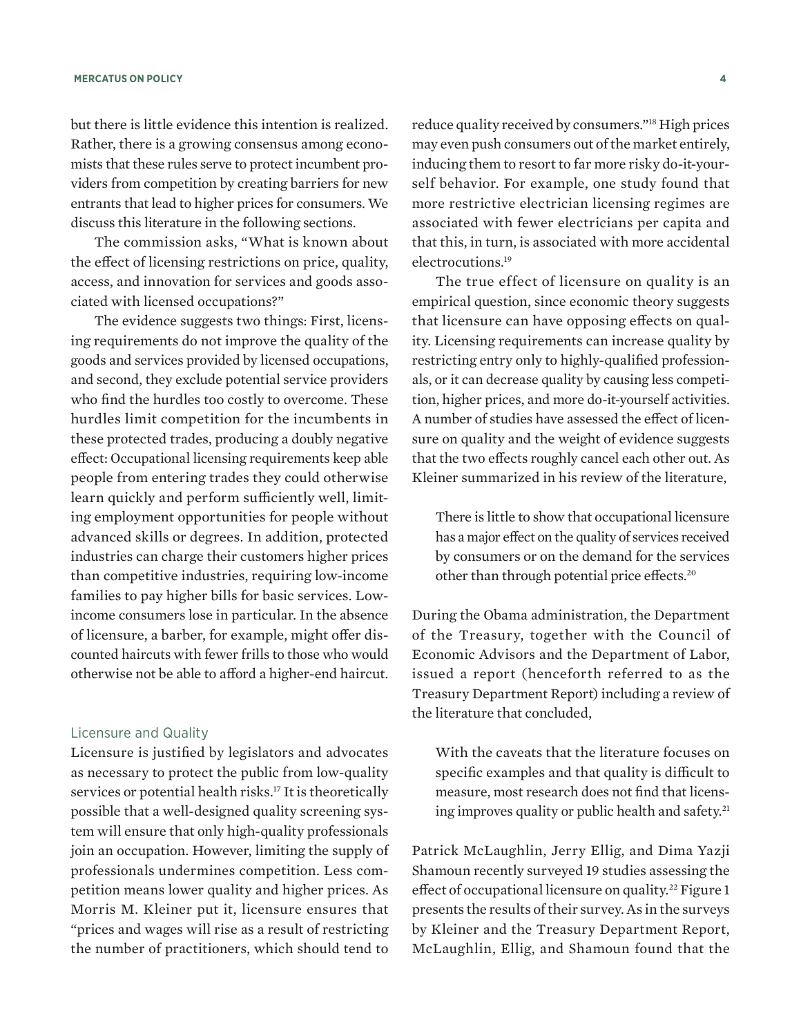#### **MERCATUS ON POLICY 4**

but there is little evidence this intention is realized. Rather, there is a growing consensus among economists that these rules serve to protect incumbent providers from competition by creating barriers for new entrants that lead to higher prices for consumers. We discuss this literature in the following sections.

The commission asks, "What is known about the effect of licensing restrictions on price, quality, access, and innovation for services and goods associated with licensed occupations?"

The evidence suggests two things: First, licensing requirements do not improve the quality of the goods and services provided by licensed occupations, and second, they exclude potential service providers who find the hurdles too costly to overcome. These hurdles limit competition for the incumbents in these protected trades, producing a doubly negative effect: Occupational licensing requirements keep able people from entering trades they could otherwise learn quickly and perform sufficiently well, limiting employment opportunities for people without advanced skills or degrees. In addition, protected industries can charge their customers higher prices than competitive industries, requiring low-income families to pay higher bills for basic services. Lowincome consumers lose in particular. In the absence of licensure, a barber, for example, might offer discounted haircuts with fewer frills to those who would otherwise not be able to afford a higher-end haircut.

## Licensure and Quality

Licensure is justified by legislators and advocates as necessary to protect the public from low-quality services or potential health risks.<sup>17</sup> It is theoretically possible that a well-designed quality screening system will ensure that only high-quality professionals join an occupation. However, limiting the supply of professionals undermines competition. Less competition means lower quality and higher prices. As Morris M. Kleiner put it, licensure ensures that "prices and wages will rise as a result of restricting the number of practitioners, which should tend to

reduce quality received by consumers."18 High prices may even push consumers out of the market entirely, inducing them to resort to far more risky do-it-yourself behavior. For example, one study found that more restrictive electrician licensing regimes are associated with fewer electricians per capita and that this, in turn, is associated with more accidental electrocutions.<sup>19</sup>

The true effect of licensure on quality is an empirical question, since economic theory suggests that licensure can have opposing effects on quality. Licensing requirements can increase quality by restricting entry only to highly-qualified professionals, or it can decrease quality by causing less competition, higher prices, and more do-it-yourself activities. A number of studies have assessed the effect of licensure on quality and the weight of evidence suggests that the two effects roughly cancel each other out. As Kleiner summarized in his review of the literature,

There is little to show that occupational licensure has a major effect on the quality of services received by consumers or on the demand for the services other than through potential price effects.20

During the Obama administration, the Department of the Treasury, together with the Council of Economic Advisors and the Department of Labor, issued a report (henceforth referred to as the Treasury Department Report) including a review of the literature that concluded,

With the caveats that the literature focuses on specific examples and that quality is difficult to measure, most research does not find that licensing improves quality or public health and safety.<sup>21</sup>

Patrick McLaughlin, Jerry Ellig, and Dima Yazji Shamoun recently surveyed 19 studies assessing the effect of occupational licensure on quality.<sup>22</sup> Figure 1 presents the results of their survey. As in the surveys by Kleiner and the Treasury Department Report, McLaughlin, Ellig, and Shamoun found that the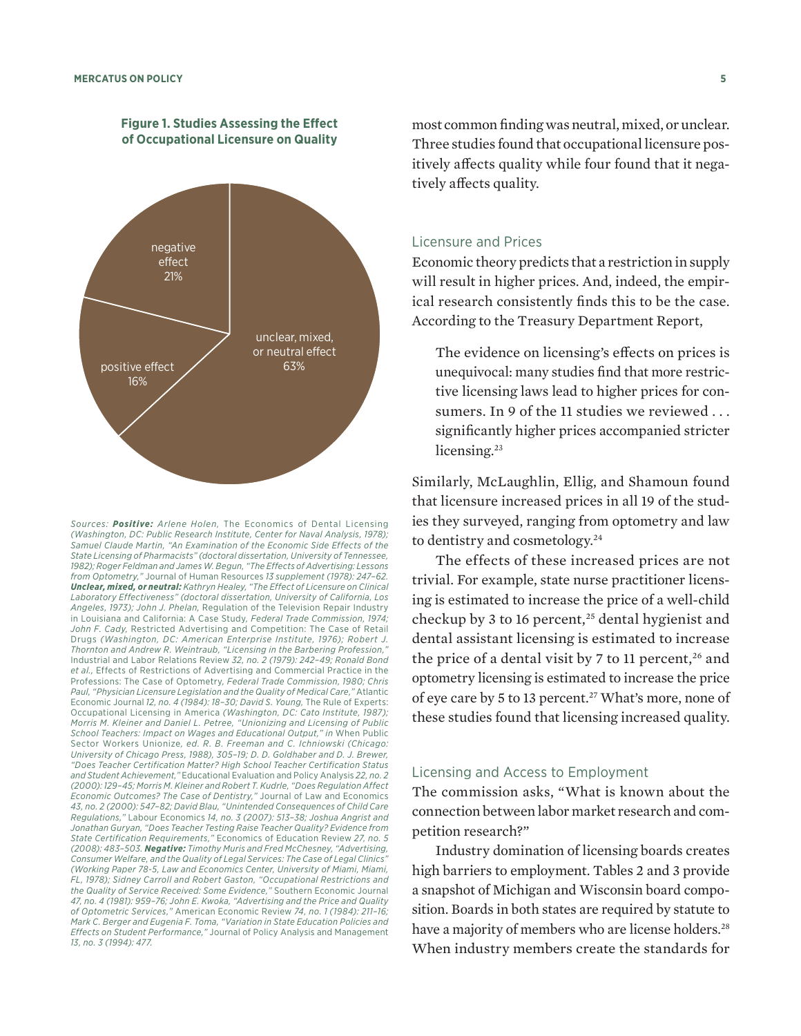

*Sources: Positive: Arlene Holen,* The Economics of Dental Licensing *(Washington, DC: Public Research Institute, Center for Naval Analysis, 1978); Samuel Claude Martin, "An Examination of the Economic Side Effects of the State Licensing of Pharmacists" (doctoral dissertation, University of Tennessee, 1982); Roger Feldman and James W. Begun, "The Effects of Advertising: Lessons from Optometry,"* Journal of Human Resources *13 supplement (1978): 247–62. Unclear, mixed, or neutral: Kathryn Healey, "The Effect of Licensure on Clinical Laboratory Effectiveness" (doctoral dissertation, University of California, Los Angeles, 1973); John J. Phelan,* Regulation of the Television Repair Industry in Louisiana and California: A Case Study*, Federal Trade Commission, 1974; John F. Cady,* Restricted Advertising and Competition: The Case of Retail Drugs *(Washington, DC: American Enterprise Institute, 1976); Robert J.*  **Thornton and Andrew R. Weintraub, "Licensing in the Barbering Profession,** Industrial and Labor Relations Review *32, no. 2 (1979): 242–49; Ronald Bond et al.,* Effects of Restrictions of Advertising and Commercial Practice in the Professions: The Case of Optometry*, Federal Trade Commission, 1980; Chris Paul, "Physician Licensure Legislation and the Quality of Medical Care,"* Atlantic Economic Journal *12, no. 4 (1984): 18–30; David S. Young,* The Rule of Experts: Occupational Licensing in America *(Washington, DC: Cato Institute, 1987); Morris M. Kleiner and Daniel L. Petree, "Unionizing and Licensing of Public School Teachers: Impact on Wages and Educational Output," in* When Public Sector Workers Unionize*, ed. R. B. Freeman and C. Ichniowski (Chicago: University of Chicago Press, 1988), 305–19; D. D. Goldhaber and D. J. Brewer, "Does Teacher Certification Matter? High School Teacher Certification Status and Student Achievement,"* Educational Evaluation and Policy Analysis *22, no. 2 (2000): 129–45; Morris M. Kleiner and Robert T. Kudrle, "Does Regulation Affect Economic Outcomes? The Case of Dentistry,"* Journal of Law and Economics *43, no. 2 (2000): 547–82; David Blau, "Unintended Consequences of Child Care Regulations,"* Labour Economics *14, no. 3 (2007): 513–38; Joshua Angrist and Jonathan Guryan, "Does Teacher Testing Raise Teacher Quality? Evidence from State Certification Requirements,"* Economics of Education Review *27, no. 5 (2008): 483–503. Negative: Timothy Muris and Fred McChesney, "Advertising, Consumer Welfare, and the Quality of Legal Services: The Case of Legal Clinics" (Working Paper 78-5, Law and Economics Center, University of Miami, Miami, FL, 1978); Sidney Carroll and Robert Gaston, "Occupational Restrictions and the Quality of Service Received: Some Evidence,"* Southern Economic Journal *47, no. 4 (1981): 959–76; John E. Kwoka, "Advertising and the Price and Quality of Optometric Services,"* American Economic Review *74, no. 1 (1984): 211–16; Mark C. Berger and Eugenia F. Toma, "Variation in State Education Policies and Effects on Student Performance,"* Journal of Policy Analysis and Management *13, no. 3 (1994): 477.*

most common finding was neutral, mixed, or unclear. Three studies found that occupational licensure positively affects quality while four found that it negatively affects quality.

#### Licensure and Prices

Economic theory predicts that a restriction in supply will result in higher prices. And, indeed, the empirical research consistently finds this to be the case. According to the Treasury Department Report,

The evidence on licensing's effects on prices is unequivocal: many studies find that more restrictive licensing laws lead to higher prices for consumers. In 9 of the 11 studies we reviewed . . . significantly higher prices accompanied stricter licensing.<sup>23</sup>

Similarly, McLaughlin, Ellig, and Shamoun found that licensure increased prices in all 19 of the studies they surveyed, ranging from optometry and law to dentistry and cosmetology.<sup>24</sup>

The effects of these increased prices are not trivial. For example, state nurse practitioner licensing is estimated to increase the price of a well-child checkup by 3 to 16 percent, $25$  dental hygienist and dental assistant licensing is estimated to increase the price of a dental visit by 7 to 11 percent,<sup>26</sup> and optometry licensing is estimated to increase the price of eye care by 5 to 13 percent.<sup>27</sup> What's more, none of these studies found that licensing increased quality.

## Licensing and Access to Employment

The commission asks, "What is known about the connection between labor market research and competition research?"

Industry domination of licensing boards creates high barriers to employment. Tables 2 and 3 provide a snapshot of Michigan and Wisconsin board composition. Boards in both states are required by statute to have a majority of members who are license holders.<sup>28</sup> When industry members create the standards for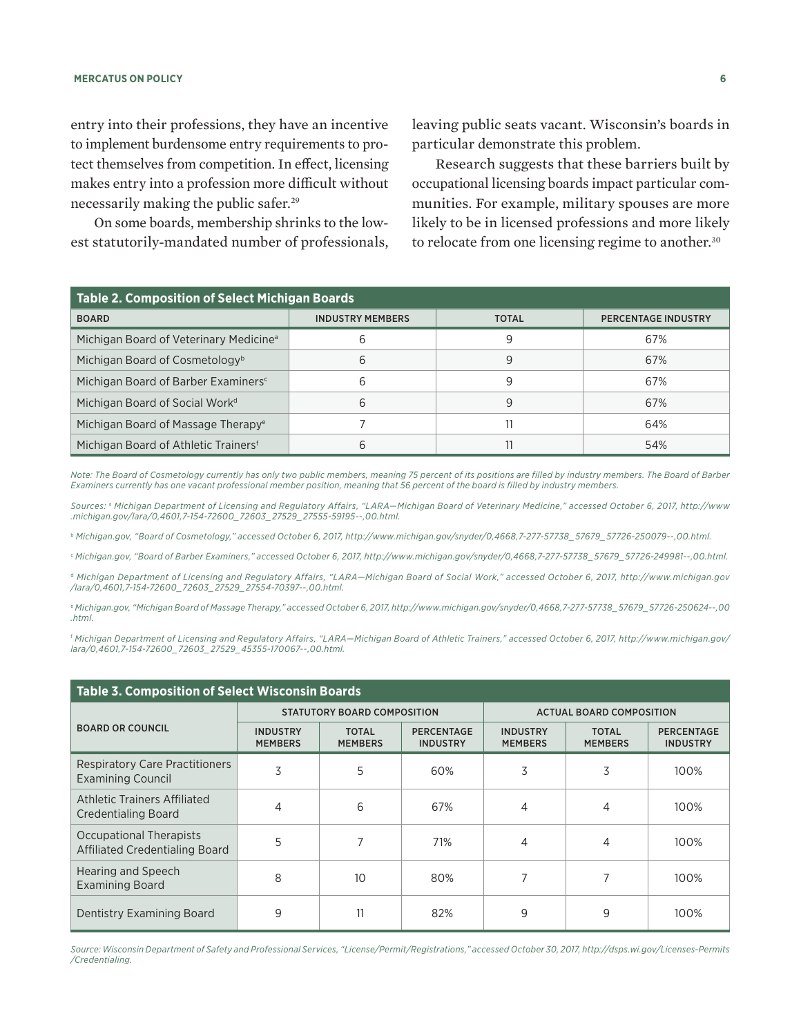entry into their professions, they have an incentive to implement burdensome entry requirements to protect themselves from competition. In effect, licensing makes entry into a profession more difficult without necessarily making the public safer.29

On some boards, membership shrinks to the lowest statutorily-mandated number of professionals, leaving public seats vacant. Wisconsin's boards in particular demonstrate this problem.

Research suggests that these barriers built by occupational licensing boards impact particular communities. For example, military spouses are more likely to be in licensed professions and more likely to relocate from one licensing regime to another.<sup>30</sup>

| Table 2. Composition of Select Michigan Boards     |                         |              |                            |
|----------------------------------------------------|-------------------------|--------------|----------------------------|
| <b>BOARD</b>                                       | <b>INDUSTRY MEMBERS</b> | <b>TOTAL</b> | <b>PERCENTAGE INDUSTRY</b> |
| Michigan Board of Veterinary Medicine <sup>a</sup> | h                       | 9            | 67%                        |
| Michigan Board of Cosmetology <sup>b</sup>         | 6                       | 9            | 67%                        |
| Michigan Board of Barber Examiners <sup>c</sup>    | 6                       | q            | 67%                        |
| Michigan Board of Social Work <sup>d</sup>         | 6                       | 9            | 67%                        |
| Michigan Board of Massage Therapy <sup>e</sup>     |                         |              | 64%                        |
| Michigan Board of Athletic Trainers <sup>f</sup>   | h                       |              | 54%                        |

*Note: The Board of Cosmetology currently has only two public members, meaning 75 percent of its positions are filled by industry members. The Board of Barber Examiners currently has one vacant professional member position, meaning that 56 percent of the board is filled by industry members.*

*Sources:* <sup>a</sup>  *Michigan Department of Licensing and Regulatory Affairs, "LARA—Michigan Board of Veterinary Medicine," accessed October 6, 2017, [http://www](http://www.michigan.gov/lara/0,4601,7-154-72600_72603_27529_27555-59195--,00.html) [.michigan.gov/lara/0,4601,7-154-72600\\_72603\\_27529\\_27555-59195--,00.html.](http://www.michigan.gov/lara/0,4601,7-154-72600_72603_27529_27555-59195--,00.html)*

<sup>b</sup> *Michigan.gov, "Board of Cosmetology," accessed October 6, 2017, [http://www.michigan.gov/snyder/0,4668,7-277-57738\\_57679\\_57726-250079--,00.html.](http://www.michigan.gov/snyder/0,4668,7-277-57738_57679_57726-250079--,00.html)*

c  *Michigan.gov, "Board of Barber Examiners," accessed October 6, 2017, [http://www.michigan.gov/snyder/0,4668,7-277-57738\\_57679\\_57726-249981--,00.html.](http://www.michigan.gov/snyder/0,4668,7-277-57738_57679_57726-249981--,00.html)*

<sup>d</sup> *Michigan Department of Licensing and Regulatory Affairs, "LARA—Michigan Board of Social Work," accessed October 6, 2017, [http://www.michigan.gov](http://www.michigan.gov/lara/0,4601,7-154-72600_72603_27529_27554-70397--,00.html) [/lara/0,4601,7-154-72600\\_72603\\_27529\\_27554-70397--,00.html.](http://www.michigan.gov/lara/0,4601,7-154-72600_72603_27529_27554-70397--,00.html)*

e  *Michigan.gov, "Michigan Board of Massage Therapy," accessed October 6, 2017[, http://www.michigan.gov/snyder/0,4668,7-277-57738\\_57679\\_57726-250624--,00](http://www.michigan.gov/snyder/0,4668,7-277-57738_57679_57726-250624--,00.html) [.html.](http://www.michigan.gov/snyder/0,4668,7-277-57738_57679_57726-250624--,00.html)*

f  *Michigan Department of Licensing and Regulatory Affairs, "LARA—Michigan Board of Athletic Trainers," accessed October 6, 2017, [http://www.michigan.gov/](http://www.michigan.gov/lara/0,4601,7-154-72600_72603_27529_45355-170067--,00.html) [lara/0,4601,7-154-72600\\_72603\\_27529\\_45355-170067--,00.html.](http://www.michigan.gov/lara/0,4601,7-154-72600_72603_27529_45355-170067--,00.html)*

| <b>Table 3. Composition of Select Wisconsin Boards</b>            |                                   |                                |                                      |                                   |                                |                                      |
|-------------------------------------------------------------------|-----------------------------------|--------------------------------|--------------------------------------|-----------------------------------|--------------------------------|--------------------------------------|
|                                                                   | STATUTORY BOARD COMPOSITION       |                                |                                      | <b>ACTUAL BOARD COMPOSITION</b>   |                                |                                      |
| <b>BOARD OR COUNCIL</b>                                           | <b>INDUSTRY</b><br><b>MEMBERS</b> | <b>TOTAL</b><br><b>MEMBERS</b> | <b>PERCENTAGE</b><br><b>INDUSTRY</b> | <b>INDUSTRY</b><br><b>MEMBERS</b> | <b>TOTAL</b><br><b>MEMBERS</b> | <b>PERCENTAGE</b><br><b>INDUSTRY</b> |
| <b>Respiratory Care Practitioners</b><br><b>Examining Council</b> | 3                                 | 5                              | 60%                                  | 3                                 | 3                              | 100%                                 |
| Athletic Trainers Affiliated<br>Credentialing Board               | 4                                 | 6                              | 67%                                  | 4                                 | 4                              | 100%                                 |
| Occupational Therapists<br>Affiliated Credentialing Board         | 5                                 | 7                              | 71%                                  | 4                                 | 4                              | 100%                                 |
| Hearing and Speech<br><b>Examining Board</b>                      | 8                                 | 10                             | 80%                                  |                                   |                                | 100%                                 |
| Dentistry Examining Board                                         | 9                                 | 11                             | 82%                                  | 9                                 | 9                              | 100%                                 |

*Source: Wisconsin Department of Safety and Professional Services, "License/Permit/Registrations," accessed October 30, 2017, [http://dsps.wi.gov/Licenses-Permits](http://dsps.wi.gov/Licenses-Permits/Credentialing) [/Credentialing.](http://dsps.wi.gov/Licenses-Permits/Credentialing)*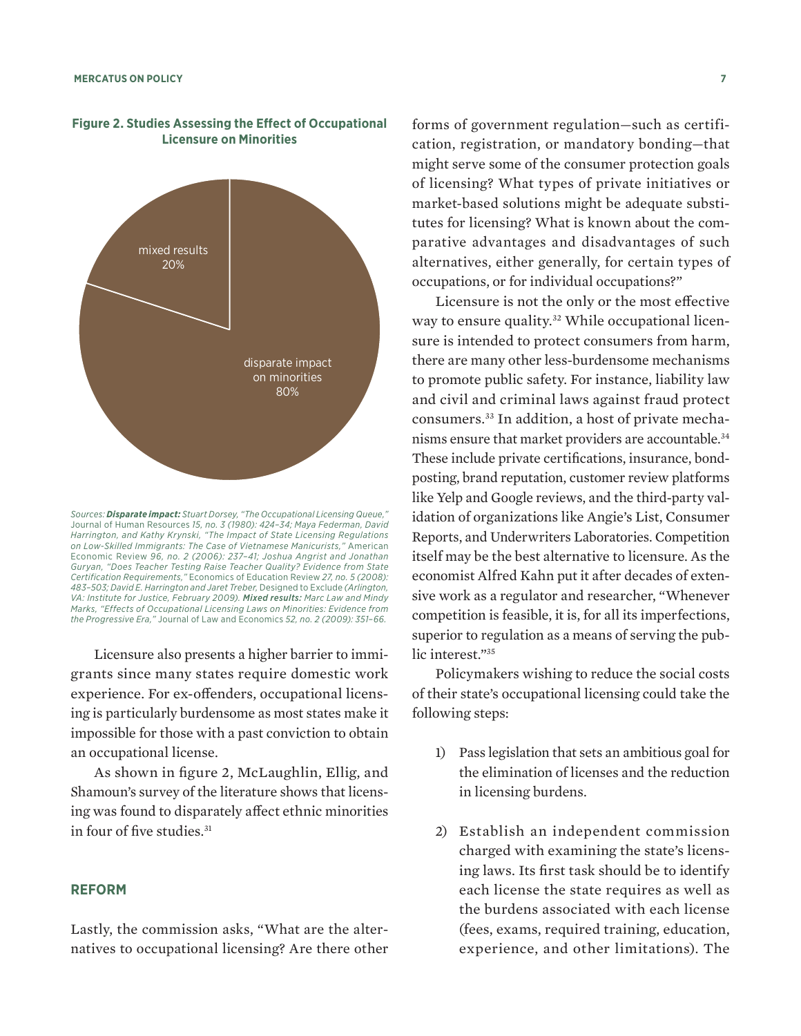

#### **Figure 2. Studies Assessing the Effect of Occupational Licensure on Minorities**

*Sources: Disparate impact: Stuart Dorsey, "The Occupational Licensing Queue,"*  Journal of Human Resources *15, no. 3 (1980): 424–34; Maya Federman, David Harrington, and Kathy Krynski, "The Impact of State Licensing Regulations on Low-Skilled Immigrants: The Case of Vietnamese Manicurists,"* American Economic Review *96, no. 2 (2006): 237–41; Joshua Angrist and Jonathan Guryan, "Does Teacher Testing Raise Teacher Quality? Evidence from State Certification Requirements,"* Economics of Education Review *27, no. 5 (2008): 483–503; David E. Harrington and Jaret Treber,* Designed to Exclude *(Arlington, VA: Institute for Justice, February 2009). Mixed results: Marc Law and Mindy Marks, "Effects of Occupational Licensing Laws on Minorities: Evidence from the Progressive Era,"* Journal of Law and Economics *52, no. 2 (2009): 351–66.*

Licensure also presents a higher barrier to immigrants since many states require domestic work experience. For ex-offenders, occupational licensing is particularly burdensome as most states make it impossible for those with a past conviction to obtain an occupational license.

As shown in figure 2, McLaughlin, Ellig, and Shamoun's survey of the literature shows that licensing was found to disparately affect ethnic minorities in four of five studies.<sup>31</sup>

#### **REFORM**

Lastly, the commission asks, "What are the alternatives to occupational licensing? Are there other forms of government regulation—such as certification, registration, or mandatory bonding—that might serve some of the consumer protection goals of licensing? What types of private initiatives or market-based solutions might be adequate substitutes for licensing? What is known about the comparative advantages and disadvantages of such alternatives, either generally, for certain types of occupations, or for individual occupations?"

Licensure is not the only or the most effective way to ensure quality.<sup>32</sup> While occupational licensure is intended to protect consumers from harm, there are many other less-burdensome mechanisms to promote public safety. For instance, liability law and civil and criminal laws against fraud protect consumers.33 In addition, a host of private mechanisms ensure that market providers are accountable.<sup>34</sup> These include private certifications, insurance, bondposting, brand reputation, customer review platforms like Yelp and Google reviews, and the third-party validation of organizations like Angie's List, Consumer Reports, and Underwriters Laboratories. Competition itself may be the best alternative to licensure. As the economist Alfred Kahn put it after decades of extensive work as a regulator and researcher, "Whenever competition is feasible, it is, for all its imperfections, superior to regulation as a means of serving the public interest."<sup>35</sup>

Policymakers wishing to reduce the social costs of their state's occupational licensing could take the following steps:

- 1) Pass legislation that sets an ambitious goal for the elimination of licenses and the reduction in licensing burdens.
- 2) Establish an independent commission charged with examining the state's licensing laws. Its first task should be to identify each license the state requires as well as the burdens associated with each license (fees, exams, required training, education, experience, and other limitations). The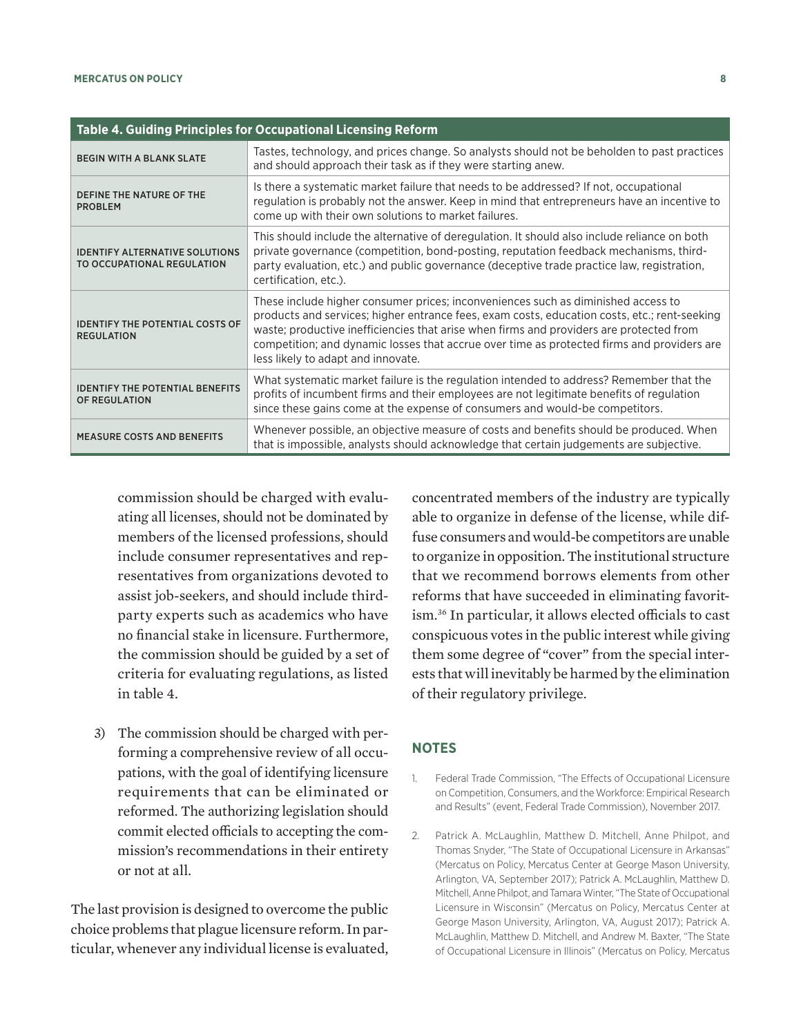| Table 4. Guiding Principles for Occupational Licensing Reform       |                                                                                                                                                                                                                                                                                                                                                                                                                  |  |  |
|---------------------------------------------------------------------|------------------------------------------------------------------------------------------------------------------------------------------------------------------------------------------------------------------------------------------------------------------------------------------------------------------------------------------------------------------------------------------------------------------|--|--|
| <b>BEGIN WITH A BLANK SLATE</b>                                     | Tastes, technology, and prices change. So analysts should not be beholden to past practices<br>and should approach their task as if they were starting anew.                                                                                                                                                                                                                                                     |  |  |
| DEFINE THE NATURE OF THE<br><b>PROBLEM</b>                          | Is there a systematic market failure that needs to be addressed? If not, occupational<br>regulation is probably not the answer. Keep in mind that entrepreneurs have an incentive to<br>come up with their own solutions to market failures.                                                                                                                                                                     |  |  |
| <b>IDENTIFY ALTERNATIVE SOLUTIONS</b><br>TO OCCUPATIONAL REGULATION | This should include the alternative of deregulation. It should also include reliance on both<br>private governance (competition, bond-posting, reputation feedback mechanisms, third-<br>party evaluation, etc.) and public governance (deceptive trade practice law, registration,<br>certification, etc.).                                                                                                     |  |  |
| <b>IDENTIFY THE POTENTIAL COSTS OF</b><br><b>REGULATION</b>         | These include higher consumer prices; inconveniences such as diminished access to<br>products and services; higher entrance fees, exam costs, education costs, etc.; rent-seeking<br>waste; productive inefficiencies that arise when firms and providers are protected from<br>competition; and dynamic losses that accrue over time as protected firms and providers are<br>less likely to adapt and innovate. |  |  |
| <b>IDENTIFY THE POTENTIAL BENEFITS</b><br>OF REGULATION             | What systematic market failure is the regulation intended to address? Remember that the<br>profits of incumbent firms and their employees are not legitimate benefits of regulation<br>since these gains come at the expense of consumers and would-be competitors.                                                                                                                                              |  |  |
| <b>MEASURE COSTS AND BENEFITS</b>                                   | Whenever possible, an objective measure of costs and benefits should be produced. When<br>that is impossible, analysts should acknowledge that certain judgements are subjective.                                                                                                                                                                                                                                |  |  |

commission should be charged with evaluating all licenses, should not be dominated by members of the licensed professions, should include consumer representatives and representatives from organizations devoted to assist job-seekers, and should include thirdparty experts such as academics who have no financial stake in licensure. Furthermore, the commission should be guided by a set of criteria for evaluating regulations, as listed in table 4.

3) The commission should be charged with performing a comprehensive review of all occupations, with the goal of identifying licensure requirements that can be eliminated or reformed. The authorizing legislation should commit elected officials to accepting the commission's recommendations in their entirety or not at all.

The last provision is designed to overcome the public choice problems that plague licensure reform. In particular, whenever any individual license is evaluated, concentrated members of the industry are typically able to organize in defense of the license, while diffuse consumers and would-be competitors are unable to organize in opposition. The institutional structure that we recommend borrows elements from other reforms that have succeeded in eliminating favoritism.36 In particular, it allows elected officials to cast conspicuous votes in the public interest while giving them some degree of "cover" from the special interests that will inevitably be harmed by the elimination of their regulatory privilege.

#### **NOTES**

- Federal Trade Commission, "The Effects of Occupational Licensure on Competition, Consumers, and the Workforce: Empirical Research and Results" (event, Federal Trade Commission), November 2017.
- 2. Patrick A. McLaughlin, Matthew D. Mitchell, Anne Philpot, and Thomas Snyder, "The State of Occupational Licensure in Arkansas" (Mercatus on Policy, Mercatus Center at George Mason University, Arlington, VA, September 2017); Patrick A. McLaughlin, Matthew D. Mitchell, Anne Philpot, and Tamara Winter, "The State of Occupational Licensure in Wisconsin" (Mercatus on Policy, Mercatus Center at George Mason University, Arlington, VA, August 2017); Patrick A. McLaughlin, Matthew D. Mitchell, and Andrew M. Baxter, "The State of Occupational Licensure in Illinois" (Mercatus on Policy, Mercatus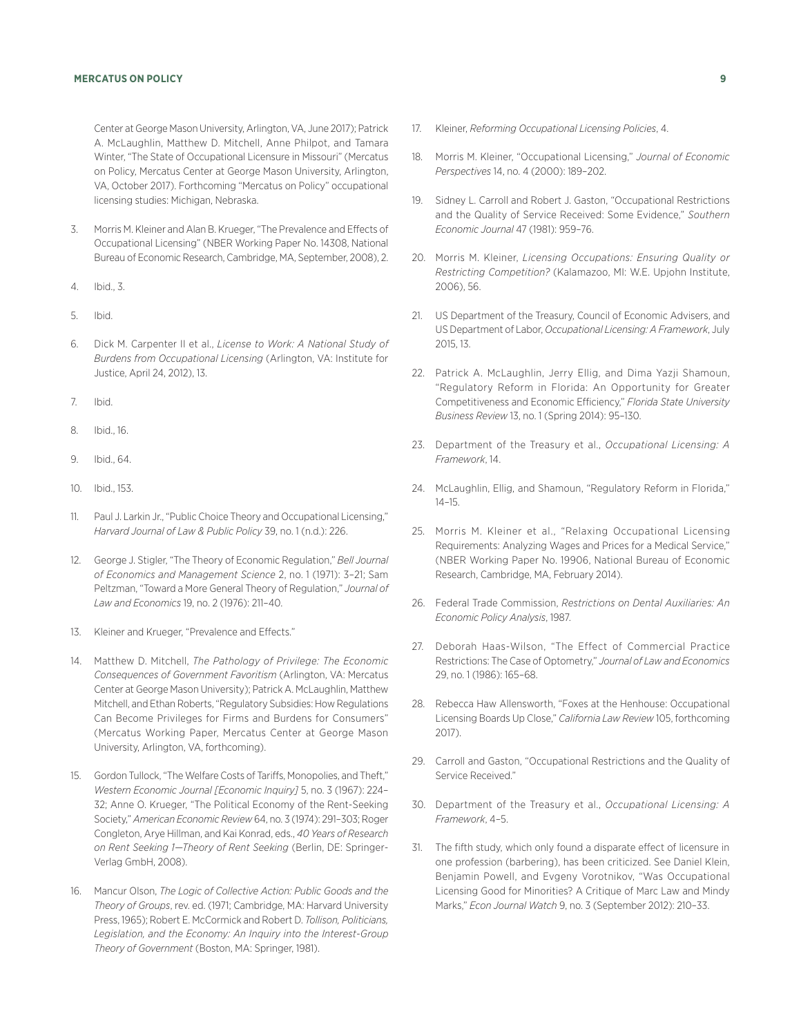#### **MERCATUS ON POLICY 9**

Center at George Mason University, Arlington, VA, June 2017); Patrick A. McLaughlin, Matthew D. Mitchell, Anne Philpot, and Tamara Winter, "The State of Occupational Licensure in Missouri" (Mercatus on Policy, Mercatus Center at George Mason University, Arlington, VA, October 2017). Forthcoming "Mercatus on Policy" occupational licensing studies: Michigan, Nebraska.

- 3. Morris M. Kleiner and Alan B. Krueger, "The Prevalence and Effects of Occupational Licensing" (NBER Working Paper No. 14308, National Bureau of Economic Research, Cambridge, MA, September, 2008), 2.
- 4. Ibid., 3.
- 5. Ibid.
- 6. Dick M. Carpenter II et al., *License to Work: A National Study of Burdens from Occupational Licensing* (Arlington, VA: Institute for Justice, April 24, 2012), 13.
- 7. Ibid.
- 8. Ibid., 16.
- 9. Ibid., 64.
- 10. Ibid., 153.
- 11. Paul J. Larkin Jr., "Public Choice Theory and Occupational Licensing," *Harvard Journal of Law & Public Policy* 39, no. 1 (n.d.): 226.
- 12. George J. Stigler, "The Theory of Economic Regulation," *Bell Journal of Economics and Management Science* 2, no. 1 (1971): 3–21; Sam Peltzman, "Toward a More General Theory of Regulation," *Journal of Law and Economics* 19, no. 2 (1976): 211–40.
- 13. Kleiner and Krueger, "Prevalence and Effects."
- 14. Matthew D. Mitchell, *The Pathology of Privilege: The Economic Consequences of Government Favoritism* (Arlington, VA: Mercatus Center at George Mason University); Patrick A. McLaughlin, Matthew Mitchell, and Ethan Roberts, "Regulatory Subsidies: How Regulations Can Become Privileges for Firms and Burdens for Consumers" (Mercatus Working Paper, Mercatus Center at George Mason University, Arlington, VA, forthcoming).
- 15. Gordon Tullock, "The Welfare Costs of Tariffs, Monopolies, and Theft," *Western Economic Journal [Economic Inquiry]* 5, no. 3 (1967): 224– 32; Anne O. Krueger, "The Political Economy of the Rent-Seeking Society," *American Economic Review* 64, no. 3 (1974): 291–303; Roger Congleton, Arye Hillman, and Kai Konrad, eds., *40 Years of Research on Rent Seeking 1—Theory of Rent Seeking* (Berlin, DE: Springer-Verlag GmbH, 2008).
- 16. Mancur Olson, *The Logic of Collective Action: Public Goods and the Theory of Groups*, rev. ed. (1971; Cambridge, MA: Harvard University Press, 1965); Robert E. McCormick and Robert D. *Tollison, Politicians, Legislation, and the Economy: An Inquiry into the Interest-Group Theory of Government* (Boston, MA: Springer, 1981).
- 17. Kleiner, *Reforming Occupational Licensing Policies*, 4.
- 18. Morris M. Kleiner, "Occupational Licensing," *Journal of Economic Perspectives* 14, no. 4 (2000): 189–202.
- 19. Sidney L. Carroll and Robert J. Gaston, "Occupational Restrictions and the Quality of Service Received: Some Evidence," *Southern Economic Journal* 47 (1981): 959–76.
- 20. Morris M. Kleiner, *Licensing Occupations: Ensuring Quality or Restricting Competition?* (Kalamazoo, MI: W.E. Upjohn Institute, 2006), 56.
- 21. US Department of the Treasury, Council of Economic Advisers, and US Department of Labor, *Occupational Licensing: A Framework*, July 2015, 13.
- 22. Patrick A. McLaughlin, Jerry Ellig, and Dima Yazji Shamoun, "Regulatory Reform in Florida: An Opportunity for Greater Competitiveness and Economic Efficiency," *Florida State University Business Review* 13, no. 1 (Spring 2014): 95–130.
- 23. Department of the Treasury et al., *Occupational Licensing: A Framework*, 14.
- 24. McLaughlin, Ellig, and Shamoun, "Regulatory Reform in Florida," 14–15.
- 25. Morris M. Kleiner et al., "Relaxing Occupational Licensing Requirements: Analyzing Wages and Prices for a Medical Service," (NBER Working Paper No. 19906, National Bureau of Economic Research, Cambridge, MA, February 2014).
- 26. Federal Trade Commission, *Restrictions on Dental Auxiliaries: An Economic Policy Analysis*, 1987.
- 27. Deborah Haas-Wilson, "The Effect of Commercial Practice Restrictions: The Case of Optometry," *Journal of Law and Economics* 29, no. 1 (1986): 165–68.
- 28. Rebecca Haw Allensworth, "Foxes at the Henhouse: Occupational Licensing Boards Up Close," *California Law Review* 105, forthcoming 2017).
- 29. Carroll and Gaston, "Occupational Restrictions and the Quality of Service Received."
- 30. Department of the Treasury et al., *Occupational Licensing: A Framework*, 4–5.
- 31. The fifth study, which only found a disparate effect of licensure in one profession (barbering), has been criticized. See Daniel Klein, Benjamin Powell, and Evgeny Vorotnikov, "Was Occupational Licensing Good for Minorities? A Critique of Marc Law and Mindy Marks," *Econ Journal Watch* 9, no. 3 (September 2012): 210–33.